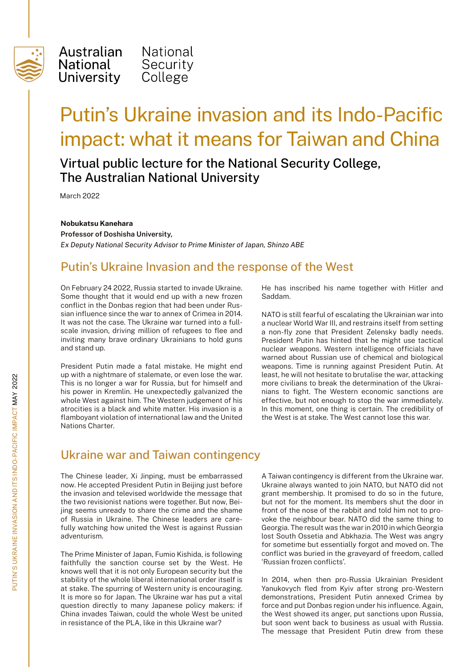

Australian National National Security **University** College

# Putin's Ukraine invasion and its Indo-Pacific impact: what it means for Taiwan and China

## Virtual public lecture for the National Security College, The Australian National University

March 2022

#### **Nobukatsu Kanehara**

**Professor of Doshisha University,**  *Ex Deputy National Security Advisor to Prime Minister of Japan, Shinzo ABE* 

#### Putin's Ukraine Invasion and the response of the West

On February 24 2022, Russia started to invade Ukraine. Some thought that it would end up with a new frozen conflict in the Donbas region that had been under Russian influence since the war to annex of Crimea in 2014. It was not the case. The Ukraine war turned into a fullscale invasion, driving million of refugees to flee and inviting many brave ordinary Ukrainians to hold guns and stand up.

President Putin made a fatal mistake. He might end up with a nightmare of stalemate, or even lose the war. This is no longer a war for Russia, but for himself and his power in Kremlin. He unexpectedly galvanized the whole West against him. The Western judgement of his atrocities is a black and white matter. His invasion is a flamboyant violation of international law and the United Nations Charter.

He has inscribed his name together with Hitler and Saddam.

NATO is still fearful of escalating the Ukrainian war into a nuclear World War III, and restrains itself from setting a non-fly zone that President Zelensky badly needs. President Putin has hinted that he might use tactical nuclear weapons. Western intelligence officials have warned about Russian use of chemical and biological weapons. Time is running against President Putin. At least, he will not hesitate to brutalise the war, attacking more civilians to break the determination of the Ukrainians to fight. The Western economic sanctions are effective, but not enough to stop the war immediately. In this moment, one thing is certain. The credibility of the West is at stake. The West cannot lose this war.

### Ukraine war and Taiwan contingency

The Chinese leader, Xi Jinping, must be embarrassed now. He accepted President Putin in Beijing just before the invasion and televised worldwide the message that the two revisionist nations were together. But now, Beijing seems unready to share the crime and the shame of Russia in Ukraine. The Chinese leaders are carefully watching how united the West is against Russian adventurism.

The Prime Minister of Japan, Fumio Kishida, is following faithfully the sanction course set by the West. He knows well that it is not only European security but the stability of the whole liberal international order itself is at stake. The spurring of Western unity is encouraging. It is more so for Japan. The Ukraine war has put a vital question directly to many Japanese policy makers: if China invades Taiwan, could the whole West be united in resistance of the PLA, like in this Ukraine war?

A Taiwan contingency is different from the Ukraine war. Ukraine always wanted to join NATO, but NATO did not grant membership. It promised to do so in the future, but not for the moment. Its members shut the door in front of the nose of the rabbit and told him not to provoke the neighbour bear. NATO did the same thing to Georgia. The result was the war in 2010 in which Georgia lost South Ossetia and Abkhazia. The West was angry for sometime but essentially forgot and moved on. The conflict was buried in the graveyard of freedom, called 'Russian frozen conflicts'.

In 2014, when then pro-Russia Ukrainian President Yanukovych fled from Kyiv after strong pro-Western demonstrations, President Putin annexed Crimea by force and put Donbas region under his influence. Again, the West showed its anger, put sanctions upon Russia, but soon went back to business as usual with Russia. The message that President Putin drew from these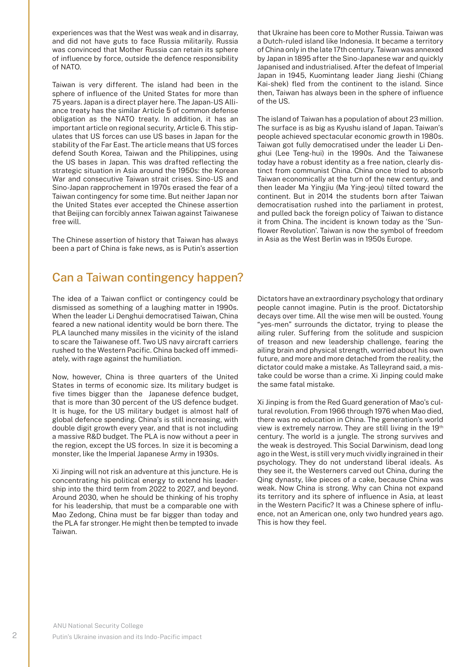experiences was that the West was weak and in disarray, and did not have guts to face Russia militarily. Russia was convinced that Mother Russia can retain its sphere of influence by force, outside the defence responsibility of NATO.

Taiwan is very different. The island had been in the sphere of influence of the United States for more than 75 years. Japan is a direct player here. The Japan-US Alliance treaty has the similar Article 5 of common defense obligation as the NATO treaty. In addition, it has an important article on regional security, Article 6. This stipulates that US forces can use US bases in Japan for the stability of the Far East. The article means that US forces defend South Korea, Taiwan and the Philippines, using the US bases in Japan. This was drafted reflecting the strategic situation in Asia around the 1950s: the Korean War and consecutive Taiwan strait crises. Sino-US and Sino-Japan rapprochement in 1970s erased the fear of a Taiwan contingency for some time. But neither Japan nor the United States ever accepted the Chinese assertion that Beijing can forcibly annex Taiwan against Taiwanese free will.

The Chinese assertion of history that Taiwan has always been a part of China is fake news, as is Putin's assertion

# Can a Taiwan contingency happen?

The idea of a Taiwan conflict or contingency could be dismissed as something of a laughing matter in 1990s. When the leader Li Denghui democratised Taiwan, China feared a new national identity would be born there. The PLA launched many missiles in the vicinity of the island to scare the Taiwanese off. Two US navy aircraft carriers rushed to the Western Pacific. China backed off immediately, with rage against the humiliation.

Now, however, China is three quarters of the United States in terms of economic size. Its military budget is five times bigger than the Japanese defence budget, that is more than 30 percent of the US defence budget. It is huge, for the US military budget is almost half of global defence spending. China's is still increasing, with double digit growth every year, and that is not including a massive R&D budget. The PLA is now without a peer in the region, except the US forces. In size it is becoming a monster, like the Imperial Japanese Army in 1930s.

Xi Jinping will not risk an adventure at this juncture. He is concentrating his political energy to extend his leadership into the third term from 2022 to 2027, and beyond. Around 2030, when he should be thinking of his trophy for his leadership, that must be a comparable one with Mao Zedong, China must be far bigger than today and the PLA far stronger. He might then be tempted to invade Taiwan.

that Ukraine has been core to Mother Russia. Taiwan was a Dutch-ruled island like Indonesia. It became a territory of China only in the late 17th century. Taiwan was annexed by Japan in 1895 after the Sino-Japanese war and quickly Japanised and industrialised. After the defeat of Imperial Japan in 1945, Kuomintang leader Jiang Jieshi (Chiang Kai-shek) fled from the continent to the island. Since then, Taiwan has always been in the sphere of influence of the US.

The island of Taiwan has a population of about 23 million. The surface is as big as Kyushu island of Japan. Taiwan's people achieved spectacular economic growth in 1980s. Taiwan got fully democratised under the leader Li Denghui (Lee Teng-hui) in the 1990s. And the Taiwanese today have a robust identity as a free nation, clearly distinct from communist China. China once tried to absorb Taiwan economically at the turn of the new century, and then leader Ma Yingjiu (Ma Ying-jeou) tilted toward the continent. But in 2014 the students born after Taiwan democratisation rushed into the parliament in protest, and pulled back the foreign policy of Taiwan to distance it from China. The incident is known today as the 'Sunflower Revolution'. Taiwan is now the symbol of freedom in Asia as the West Berlin was in 1950s Europe.

Dictators have an extraordinary psychology that ordinary people cannot imagine. Putin is the proof. Dictatorship decays over time. All the wise men will be ousted. Young "yes-men" surrounds the dictator, trying to please the ailing ruler. Suffering from the solitude and suspicion of treason and new leadership challenge, fearing the ailing brain and physical strength, worried about his own future, and more and more detached from the reality, the dictator could make a mistake. As Talleyrand said, a mistake could be worse than a crime. Xi Jinping could make the same fatal mistake.

Xi Jinping is from the Red Guard generation of Mao's cultural revolution. From 1966 through 1976 when Mao died, there was no education in China. The generation's world view is extremely narrow. They are still living in the 19th century. The world is a jungle. The strong survives and the weak is destroyed. This Social Darwinism, dead long ago in the West, is still very much vividly ingrained in their psychology. They do not understand liberal ideals. As they see it, the Westerners carved out China, during the Qing dynasty, like pieces of a cake, because China was weak. Now China is strong. Why can China not expand its territory and its sphere of influence in Asia, at least in the Western Pacific? It was a Chinese sphere of influence, not an American one, only two hundred years ago. This is how they feel.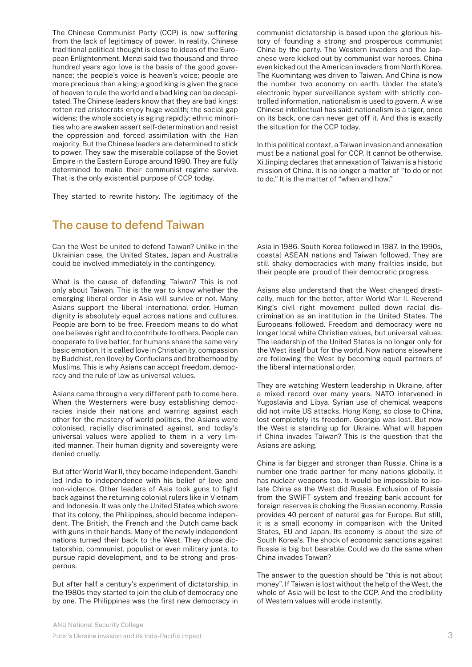The Chinese Communist Party (CCP) is now suffering from the lack of legitimacy of power. In reality, Chinese traditional political thought is close to ideas of the European Enlightenment. Menzi said two thousand and three hundred years ago: love is the basis of the good governance; the people's voice is heaven's voice; people are more precious than a king; a good king is given the grace of heaven to rule the world and a bad king can be decapitated. The Chinese leaders know that they are bad kings; rotten red aristocrats enjoy huge wealth; the social gap widens; the whole society is aging rapidly; ethnic minorities who are awaken assert self-determination and resist the oppression and forced assimilation with the Han majority. But the Chinese leaders are determined to stick to power. They saw the miserable collapse of the Soviet Empire in the Eastern Europe around 1990. They are fully determined to make their communist regime survive. That is the only existential purpose of CCP today.

They started to rewrite history. The legitimacy of the

#### The cause to defend Taiwan

Can the West be united to defend Taiwan? Unlike in the Ukrainian case, the United States, Japan and Australia could be involved immediately in the contingency.

What is the cause of defending Taiwan? This is not only about Taiwan. This is the war to know whether the emerging liberal order in Asia will survive or not. Many Asians support the liberal international order. Human dignity is absolutely equal across nations and cultures. People are born to be free. Freedom means to do what one believes right and to contribute to others. People can cooperate to live better, for humans share the same very basic emotion. It is called love in Christianity, compassion by Buddhist, ren (love) by Confucians and brotherhood by Muslims. This is why Asians can accept freedom, democracy and the rule of law as universal values.

Asians came through a very different path to come here. When the Westerners were busy establishing democracies inside their nations and warring against each other for the mastery of world politics, the Asians were colonised, racially discriminated against, and today's universal values were applied to them in a very limited manner. Their human dignity and sovereignty were denied cruelly.

But after World War II, they became independent. Gandhi led India to independence with his belief of love and non-violence. Other leaders of Asia took guns to fight back against the returning colonial rulers like in Vietnam and Indonesia. It was only the United States which swore that its colony, the Philippines, should become independent. The British, the French and the Dutch came back with guns in their hands. Many of the newly independent nations turned their back to the West. They chose dictatorship, communist, populist or even military junta, to pursue rapid development, and to be strong and prosperous.

But after half a century's experiment of dictatorship, in the 1980s they started to join the club of democracy one by one. The Philippines was the first new democracy in communist dictatorship is based upon the glorious history of founding a strong and prosperous communist China by the party. The Western invaders and the Japanese were kicked out by communist war heroes. China even kicked out the American invaders from North Korea. The Kuomintang was driven to Taiwan. And China is now the number two economy on earth. Under the state's electronic hyper surveillance system with strictly controlled information, nationalism is used to govern. A wise Chinese intellectual has said: nationalism is a tiger, once on its back, one can never get off it. And this is exactly the situation for the CCP today.

In this political context, a Taiwan invasion and annexation must be a national goal for CCP. It cannot be otherwise. Xi Jinping declares that annexation of Taiwan is a historic mission of China. It is no longer a matter of "to do or not to do." It is the matter of "when and how."

Asia in 1986. South Korea followed in 1987. In the 1990s, coastal ASEAN nations and Taiwan followed. They are still shaky democracies with many frailties inside, but their people are proud of their democratic progress.

Asians also understand that the West changed drastically, much for the better, after World War II. Reverend King's civil right movement pulled down racial discrimination as an institution in the United States. The Europeans followed. Freedom and democracy were no longer local white Christian values, but universal values. The leadership of the United States is no longer only for the West itself but for the world. Now nations elsewhere are following the West by becoming equal partners of the liberal international order.

They are watching Western leadership in Ukraine, after a mixed record over many years. NATO intervened in Yugoslavia and Libya. Syrian use of chemical weapons did not invite US attacks. Hong Kong, so close to China, lost completely its freedom. Georgia was lost. But now the West is standing up for Ukraine. What will happen if China invades Taiwan? This is the question that the Asians are asking.

China is far bigger and stronger than Russia. China is a number one trade partner for many nations globally. It has nuclear weapons too. It would be impossible to isolate China as the West did Russia. Exclusion of Russia from the SWIFT system and freezing bank account for foreign reserves is choking the Russian economy. Russia provides 40 percent of natural gas for Europe. But still, it is a small economy in comparison with the United States, EU and Japan. Its economy is about the size of South Korea's. The shock of economic sanctions against Russia is big but bearable. Could we do the same when China invades Taiwan?

The answer to the question should be "this is not about money". If Taiwan is lost without the help of the West, the whole of Asia will be lost to the CCP. And the credibility of Western values will erode instantly.